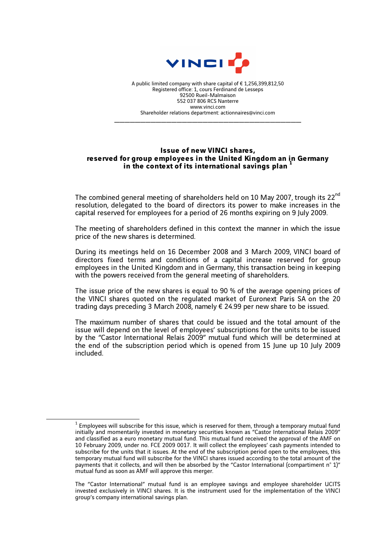

A public limited company with share capital of € 1,256,399,812,50 Registered office: 1, cours Ferdinand de Lesseps 92500 Rueil-Malmaison 552 037 806 RCS Nanterre www.vinci.com Shareholder relations department: actionnaires@vinci.com

\_\_\_\_\_\_\_\_\_\_\_\_\_\_\_\_\_\_\_\_\_\_\_\_\_\_\_\_\_\_\_\_\_\_\_\_

## **Issue of new VINCI shares, reserved for group employees in the United Kingdom an in Germany in the context of its international savings plan <sup>1</sup>**

The combined general meeting of shareholders held on 10 May 2007, trough its 22<sup>nd</sup> resolution, delegated to the board of directors its power to make increases in the capital reserved for employees for a period of 26 months expiring on 9 July 2009.

The meeting of shareholders defined in this context the manner in which the issue price of the new shares is determined.

During its meetings held on 16 December 2008 and 3 March 2009, VINCI board of directors fixed terms and conditions of a capital increase reserved for group employees in the United Kingdom and in Germany, this transaction being in keeping with the powers received from the general meeting of shareholders.

The issue price of the new shares is equal to 90 % of the average opening prices of the VINCI shares quoted on the regulated market of Euronext Paris SA on the 20 trading days preceding 3 March 2008, namely € 24.99 per new share to be issued.

The maximum number of shares that could be issued and the total amount of the issue will depend on the level of employees' subscriptions for the units to be issued by the "Castor International Relais 2009" mutual fund which will be determined at the end of the subscription period which is opened from 15 June up 10 July 2009 included.

 $<sup>1</sup>$  Employees will subscribe for this issue, which is reserved for them, through a temporary mutual fund</sup> initially and momentarily invested in monetary securities known as "Castor International Relais 2009" and classified as a euro monetary mutual fund. This mutual fund received the approval of the AMF on 10 February 2009, under no. FCE 2009 0017. It will collect the employees' cash payments intended to subscribe for the units that it issues. At the end of the subscription period open to the employees, this temporary mutual fund will subscribe for the VINCI shares issued according to the total amount of the payments that it collects, and will then be absorbed by the "Castor International (compartiment n° 1)" mutual fund as soon as AMF will approve this merger.

The "Castor International" mutual fund is an employee savings and employee shareholder UCITS invested exclusively in VINCI shares. It is the instrument used for the implementation of the VINCI group's company international savings plan.